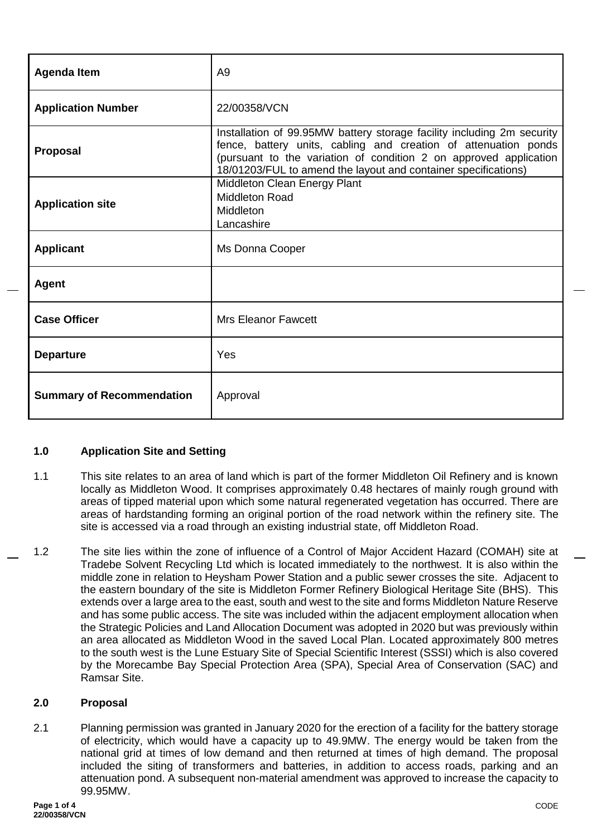| <b>Agenda Item</b>               | A <sub>9</sub>                                                                                                                                                                                                                                                                   |
|----------------------------------|----------------------------------------------------------------------------------------------------------------------------------------------------------------------------------------------------------------------------------------------------------------------------------|
| <b>Application Number</b>        | 22/00358/VCN                                                                                                                                                                                                                                                                     |
| Proposal                         | Installation of 99.95MW battery storage facility including 2m security<br>fence, battery units, cabling and creation of attenuation ponds<br>(pursuant to the variation of condition 2 on approved application<br>18/01203/FUL to amend the layout and container specifications) |
| <b>Application site</b>          | Middleton Clean Energy Plant<br><b>Middleton Road</b><br>Middleton<br>Lancashire                                                                                                                                                                                                 |
| <b>Applicant</b>                 | Ms Donna Cooper                                                                                                                                                                                                                                                                  |
| <b>Agent</b>                     |                                                                                                                                                                                                                                                                                  |
| <b>Case Officer</b>              | <b>Mrs Eleanor Fawcett</b>                                                                                                                                                                                                                                                       |
| <b>Departure</b>                 | Yes                                                                                                                                                                                                                                                                              |
| <b>Summary of Recommendation</b> | Approval                                                                                                                                                                                                                                                                         |

#### **1.0 Application Site and Setting**

- 1.1 This site relates to an area of land which is part of the former Middleton Oil Refinery and is known locally as Middleton Wood. It comprises approximately 0.48 hectares of mainly rough ground with areas of tipped material upon which some natural regenerated vegetation has occurred. There are areas of hardstanding forming an original portion of the road network within the refinery site. The site is accessed via a road through an existing industrial state, off Middleton Road.
- 1.2 The site lies within the zone of influence of a Control of Major Accident Hazard (COMAH) site at Tradebe Solvent Recycling Ltd which is located immediately to the northwest. It is also within the middle zone in relation to Heysham Power Station and a public sewer crosses the site. Adjacent to the eastern boundary of the site is Middleton Former Refinery Biological Heritage Site (BHS). This extends over a large area to the east, south and west to the site and forms Middleton Nature Reserve and has some public access. The site was included within the adjacent employment allocation when the Strategic Policies and Land Allocation Document was adopted in 2020 but was previously within an area allocated as Middleton Wood in the saved Local Plan. Located approximately 800 metres to the south west is the Lune Estuary Site of Special Scientific Interest (SSSI) which is also covered by the Morecambe Bay Special Protection Area (SPA), Special Area of Conservation (SAC) and Ramsar Site.

#### **2.0 Proposal**

2.1 Planning permission was granted in January 2020 for the erection of a facility for the battery storage of electricity, which would have a capacity up to 49.9MW. The energy would be taken from the national grid at times of low demand and then returned at times of high demand. The proposal included the siting of transformers and batteries, in addition to access roads, parking and an attenuation pond. A subsequent non-material amendment was approved to increase the capacity to 99.95MW.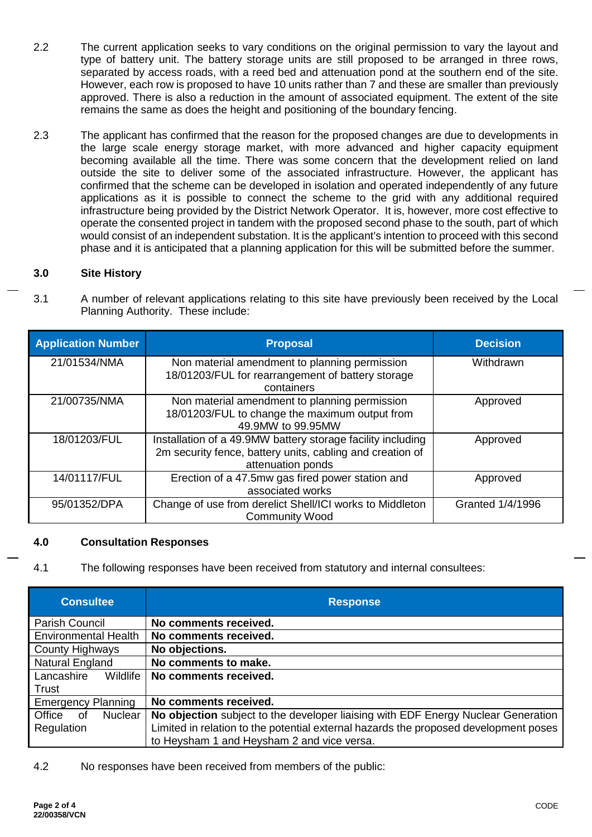- 2.2 The current application seeks to vary conditions on the original permission to vary the layout and type of battery unit. The battery storage units are still proposed to be arranged in three rows, separated by access roads, with a reed bed and attenuation pond at the southern end of the site. However, each row is proposed to have 10 units rather than 7 and these are smaller than previously approved. There is also a reduction in the amount of associated equipment. The extent of the site remains the same as does the height and positioning of the boundary fencing.
- 2.3 The applicant has confirmed that the reason for the proposed changes are due to developments in the large scale energy storage market, with more advanced and higher capacity equipment becoming available all the time. There was some concern that the development relied on land outside the site to deliver some of the associated infrastructure. However, the applicant has confirmed that the scheme can be developed in isolation and operated independently of any future applications as it is possible to connect the scheme to the grid with any additional required infrastructure being provided by the District Network Operator. It is, however, more cost effective to operate the consented project in tandem with the proposed second phase to the south, part of which would consist of an independent substation. It is the applicant's intention to proceed with this second phase and it is anticipated that a planning application for this will be submitted before the summer.

## **3.0 Site History**

3.1 A number of relevant applications relating to this site have previously been received by the Local Planning Authority. These include:

| <b>Application Number</b> | <b>Proposal</b>                                                                                                                               | <b>Decision</b>  |
|---------------------------|-----------------------------------------------------------------------------------------------------------------------------------------------|------------------|
| 21/01534/NMA              | Non material amendment to planning permission<br>18/01203/FUL for rearrangement of battery storage                                            | Withdrawn        |
|                           | containers                                                                                                                                    |                  |
| 21/00735/NMA              | Non material amendment to planning permission<br>18/01203/FUL to change the maximum output from<br>49.9MW to 99.95MW                          | Approved         |
| 18/01203/FUL              | Installation of a 49.9MW battery storage facility including<br>2m security fence, battery units, cabling and creation of<br>attenuation ponds | Approved         |
| 14/01117/FUL              | Erection of a 47.5mw gas fired power station and<br>associated works                                                                          | Approved         |
| 95/01352/DPA              | Change of use from derelict Shell/ICI works to Middleton<br><b>Community Wood</b>                                                             | Granted 1/4/1996 |

#### **4.0 Consultation Responses**

4.1 The following responses have been received from statutory and internal consultees:

| <b>Consultee</b>               | <b>Response</b>                                                                      |
|--------------------------------|--------------------------------------------------------------------------------------|
| Parish Council                 | No comments received.                                                                |
| <b>Environmental Health</b>    | No comments received.                                                                |
| <b>County Highways</b>         | No objections.                                                                       |
| Natural England                | No comments to make.                                                                 |
| Lancashire<br>Wildlife         | No comments received.                                                                |
| <b>Trust</b>                   |                                                                                      |
| <b>Emergency Planning</b>      | No comments received.                                                                |
| of<br>Office<br><b>Nuclear</b> | No objection subject to the developer liaising with EDF Energy Nuclear Generation    |
| Regulation                     | Limited in relation to the potential external hazards the proposed development poses |
|                                | to Heysham 1 and Heysham 2 and vice versa.                                           |

4.2 No responses have been received from members of the public: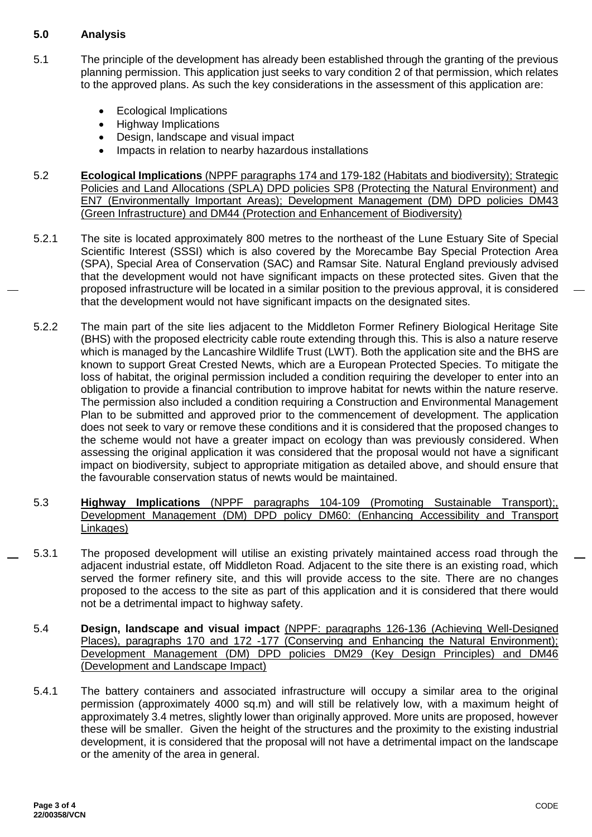## **5.0 Analysis**

- 5.1 The principle of the development has already been established through the granting of the previous planning permission. This application just seeks to vary condition 2 of that permission, which relates to the approved plans. As such the key considerations in the assessment of this application are:
	- Ecological Implications
	- Highway Implications
	- Design, landscape and visual impact
	- Impacts in relation to nearby hazardous installations
- 5.2 **Ecological Implications** (NPPF paragraphs 174 and 179-182 (Habitats and biodiversity); Strategic Policies and Land Allocations (SPLA) DPD policies SP8 (Protecting the Natural Environment) and EN7 (Environmentally Important Areas); Development Management (DM) DPD policies DM43 (Green Infrastructure) and DM44 (Protection and Enhancement of Biodiversity)
- 5.2.1 The site is located approximately 800 metres to the northeast of the Lune Estuary Site of Special Scientific Interest (SSSI) which is also covered by the Morecambe Bay Special Protection Area (SPA), Special Area of Conservation (SAC) and Ramsar Site. Natural England previously advised that the development would not have significant impacts on these protected sites. Given that the proposed infrastructure will be located in a similar position to the previous approval, it is considered that the development would not have significant impacts on the designated sites.
- 5.2.2 The main part of the site lies adjacent to the Middleton Former Refinery Biological Heritage Site (BHS) with the proposed electricity cable route extending through this. This is also a nature reserve which is managed by the Lancashire Wildlife Trust (LWT). Both the application site and the BHS are known to support Great Crested Newts, which are a European Protected Species. To mitigate the loss of habitat, the original permission included a condition requiring the developer to enter into an obligation to provide a financial contribution to improve habitat for newts within the nature reserve. The permission also included a condition requiring a Construction and Environmental Management Plan to be submitted and approved prior to the commencement of development. The application does not seek to vary or remove these conditions and it is considered that the proposed changes to the scheme would not have a greater impact on ecology than was previously considered. When assessing the original application it was considered that the proposal would not have a significant impact on biodiversity, subject to appropriate mitigation as detailed above, and should ensure that the favourable conservation status of newts would be maintained.
- 5.3 **Highway Implications** (NPPF paragraphs 104-109 (Promoting Sustainable Transport);, Development Management (DM) DPD policy DM60: (Enhancing Accessibility and Transport Linkages)
- 5.3.1 The proposed development will utilise an existing privately maintained access road through the adjacent industrial estate, off Middleton Road. Adjacent to the site there is an existing road, which served the former refinery site, and this will provide access to the site. There are no changes proposed to the access to the site as part of this application and it is considered that there would not be a detrimental impact to highway safety.
- 5.4 **Design, landscape and visual impact** (NPPF: paragraphs 126-136 (Achieving Well-Designed Places), paragraphs 170 and 172 -177 (Conserving and Enhancing the Natural Environment); Development Management (DM) DPD policies DM29 (Key Design Principles) and DM46 (Development and Landscape Impact)
- 5.4.1 The battery containers and associated infrastructure will occupy a similar area to the original permission (approximately 4000 sq.m) and will still be relatively low, with a maximum height of approximately 3.4 metres, slightly lower than originally approved. More units are proposed, however these will be smaller. Given the height of the structures and the proximity to the existing industrial development, it is considered that the proposal will not have a detrimental impact on the landscape or the amenity of the area in general.